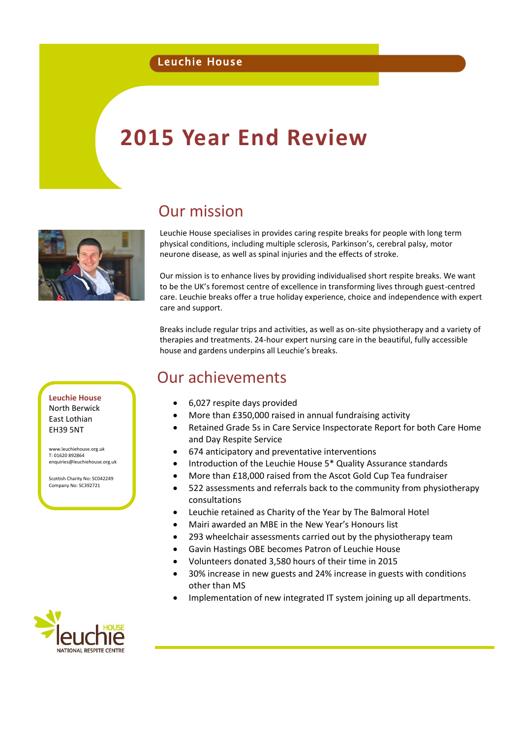#### Leuchie House

# **2015 Year End Review**

# Our mission

Leuchie House specialises in provides caring respite breaks for people with long term physical conditions, including multiple sclerosis, Parkinson's, cerebral palsy, motor neurone disease, as well as spinal injuries and the effects of stroke.

Our mission is to enhance lives by providing individualised short respite breaks. We want to be the UK's foremost centre of excellence in transforming lives through guest-centred care. Leuchie breaks offer a true holiday experience, choice and independence with expert care and support.

Breaks include regular trips and activities, as well as on-site physiotherapy and a variety of therapies and treatments. 24-hour expert nursing care in the beautiful, fully accessible house and gardens underpins all Leuchie's breaks.

## Our achievements

- 6,027 respite days provided
- More than £350,000 raised in annual fundraising activity
- Retained Grade 5s in Care Service Inspectorate Report for both Care Home and Day Respite Service
- 674 anticipatory and preventative interventions
- Introduction of the Leuchie House 5\* Quality Assurance standards
- More than £18,000 raised from the Ascot Gold Cup Tea fundraiser
- 522 assessments and referrals back to the community from physiotherapy consultations
- Leuchie retained as Charity of the Year by The Balmoral Hotel
- Mairi awarded an MBE in the New Year's Honours list
- 293 wheelchair assessments carried out by the physiotherapy team
- Gavin Hastings OBE becomes Patron of Leuchie House
- Volunteers donated 3,580 hours of their time in 2015
- 30% increase in new guests and 24% increase in guests with conditions other than MS
- Implementation of new integrated IT system joining up all departments.



**Leuchie House** North Berwick East Lothian EH39 5NT

[www.leuchiehouse.org.uk](http://www.leuchiehouse.org.uk/) T: 01620 892864 [enquiries@leuchiehouse.org.uk](mailto:enquiries@leuchiehouse.org.uk)

Scottish Charity No: SC042249 Company No: SC392721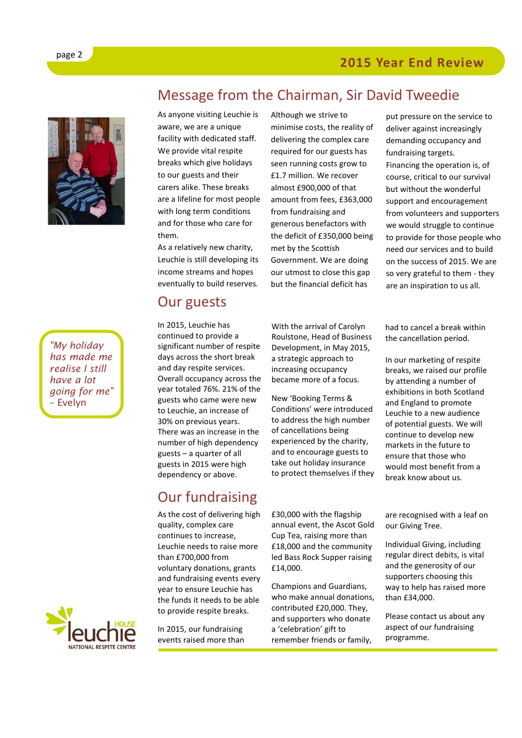

*"My holiday has made me realise I still have a lot going for me"*  – Evelyn



Message from the Chairman, Sir David Tweedie

As anyone visiting Leuchie is aware, we are a unique facility with dedicated staff. We provide vital respite breaks which give holidays to our guests and their carers alike. These breaks are a lifeline for most people with long term conditions and for those who care for them.

As a relatively new charity, Leuchie is still developing its income streams and hopes eventually to build reserves.

In 2015, Leuchie has continued to provide a significant number of respite days across the short break and day respite services. Overall occupancy across the year totaled 76%. 21% of the guests who came were new to Leuchie, an increase of 30% on previous years. There was an increase in the number of high dependency guests – a quarter of all guests in 2015 were high dependency or above.

Our guests

Although we strive to minimise costs, the reality of delivering the complex care required for our guests has seen running costs grow to £1.7 million. We recover almost £900,000 of that amount from fees, £363,000 from fundraising and generous benefactors with the deficit of £350,000 being met by the Scottish Government. We are doing our utmost to close this gap but the financial deficit has

put pressure on the service to deliver against increasingly demanding occupancy and fundraising targets. Financing the operation is, of course, critical to our survival but without the wonderful support and encouragement from volunteers and supporters we would struggle to continue to provide for those people who need our services and to build on the success of 2015. We are so very grateful to them - they are an inspiration to us all.

With the arrival of Carolyn Roulstone, Head of Business

Development, in May 2015, a strategic approach to increasing occupancy became more of a focus.

New 'Booking Terms & Conditions' were introduced to address the high number of cancellations being experienced by the charity, and to encourage guests to take out holiday insurance to protect themselves if they

# Our fundraising

As the cost of delivering high quality, complex care continues to increase, Leuchie needs to raise more than £700,000 from voluntary donations, grants and fundraising events every year to ensure Leuchie has the funds it needs to be able to provide respite breaks.

In 2015, our fundraising events raised more than £30,000 with the flagship annual event, the Ascot Gold Cup Tea, raising more than £18,000 and the community led Bass Rock Supper raising £14,000.

Champions and Guardians, who make annual donations, contributed £20,000. They, and supporters who donate a 'celebration' gift to remember friends or family,

had to cancel a break within the cancellation period.

In our marketing of respite breaks, we raised our profile by attending a number of exhibitions in both Scotland and England to promote Leuchie to a new audience of potential guests. We will continue to develop new markets in the future to ensure that those who would most benefit from a break know about us.

are recognised with a leaf on our Giving Tree.

Individual Giving, including regular direct debits, is vital and the generosity of our supporters choosing this way to help has raised more than £34,000.

Please contact us about any aspect of our fundraising programme.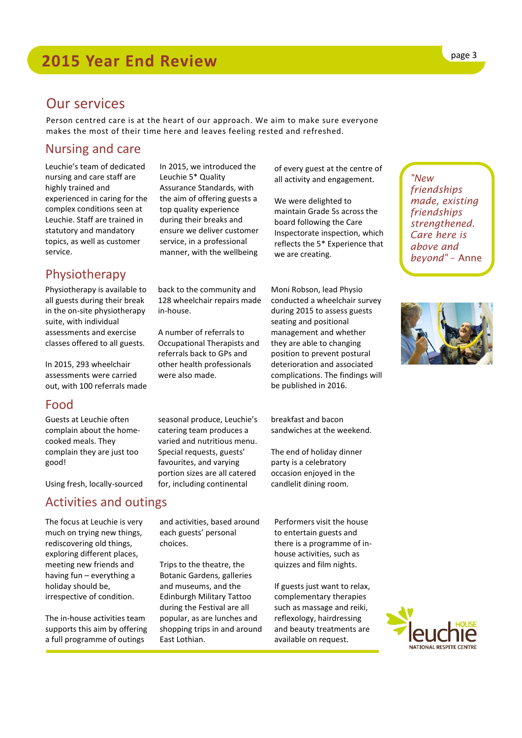### Our services

Person centred care is at the heart of our approach. We aim to make sure everyone makes the most of their time here and leaves feeling rested and refreshed.

#### Nursing and care

Leuchie's team of dedicated nursing and care staff are highly trained and experienced in caring for the complex conditions seen at Leuchie. Staff are trained in statutory and mandatory topics, as well as customer service.

#### Physiotherapy

Physiotherapy is available to all guests during their break in the on-site physiotherapy suite, with individual assessments and exercise classes offered to all guests.

In 2015, 293 wheelchair assessments were carried out, with 100 referrals made

#### Food

Guests at Leuchie often complain about the homecooked meals. They complain they are just too good!

Using fresh, locally-sourced

#### Activities and outings

The focus at Leuchie is very much on trying new things, rediscovering old things, exploring different places, meeting new friends and having fun – everything a holiday should be, irrespective of condition.

The in-house activities team supports this aim by offering a full programme of outings

In 2015, we introduced the Leuchie 5\* Quality Assurance Standards, with the aim of offering guests a top quality experience during their breaks and ensure we deliver customer service, in a professional manner, with the wellbeing

back to the community and 128 wheelchair repairs made in-house.

A number of referrals to Occupational Therapists and referrals back to GPs and other health professionals were also made.

seasonal produce, Leuchie's catering team produces a varied and nutritious menu. Special requests, guests' favourites, and varying portion sizes are all catered for, including continental

and activities, based around each guests' personal choices.

Trips to the theatre, the Botanic Gardens, galleries and museums, and the Edinburgh Military Tattoo during the Festival are all popular, as are lunches and shopping trips in and around East Lothian.

of every guest at the centre of all activity and engagement.

We were delighted to maintain Grade 5s across the board following the Care Inspectorate inspection, which reflects the 5\* Experience that we are creating.

Moni Robson, lead Physio conducted a wheelchair survey during 2015 to assess guests seating and positional management and whether they are able to changing position to prevent postural deterioration and associated complications. The findings will be published in 2016.

breakfast and bacon sandwiches at the weekend.

The end of holiday dinner party is a celebratory occasion enjoyed in the candlelit dining room.

Performers visit the house to entertain guests and there is a programme of inhouse activities, such as quizzes and film nights.

If guests just want to relax, complementary therapies such as massage and reiki, reflexology, hairdressing and beauty treatments are available on request.

*"New friendships made, existing friendships strengthened. Care here is above and beyond"* – Anne